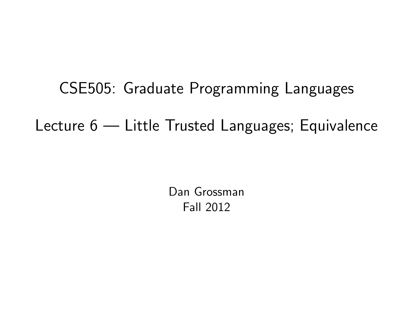CSE505: Graduate Programming Languages Lecture 6 — Little Trusted Languages; Equivalence

> <span id="page-0-0"></span>Dan Grossman Fall 2012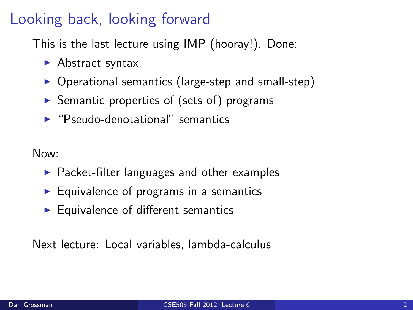## Looking back, looking forward

This is the last lecture using IMP (hooray!). Done:

- $\blacktriangleright$  Abstract syntax
- $\triangleright$  Operational semantics (large-step and small-step)
- $\triangleright$  Semantic properties of (sets of) programs
- $\blacktriangleright$  "Pseudo-denotational" semantics

Now:

- $\blacktriangleright$  Packet-filter languages and other examples
- $\blacktriangleright$  Equivalence of programs in a semantics
- $\blacktriangleright$  Equivalence of different semantics

Next lecture: Local variables, lambda-calculus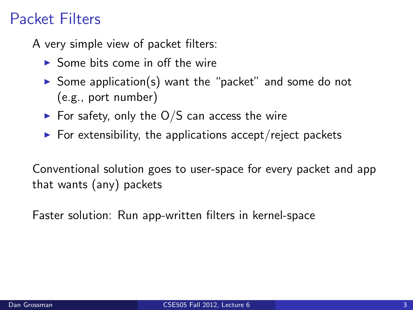## Packet Filters

A very simple view of packet filters:

- $\triangleright$  Some bits come in off the wire
- $\triangleright$  Some application(s) want the "packet" and some do not (e.g., port number)
- $\triangleright$  For safety, only the O/S can access the wire
- $\triangleright$  For extensibility, the applications accept/reject packets

Conventional solution goes to user-space for every packet and app that wants (any) packets

Faster solution: Run app-written filters in kernel-space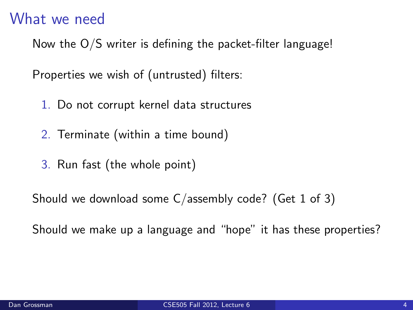#### What we need

Now the O/S writer is defining the packet-filter language!

Properties we wish of (untrusted) filters:

- 1. Do not corrupt kernel data structures
- 2. Terminate (within a time bound)
- 3. Run fast (the whole point)

Should we download some C/assembly code? (Get 1 of 3)

Should we make up a language and "hope" it has these properties?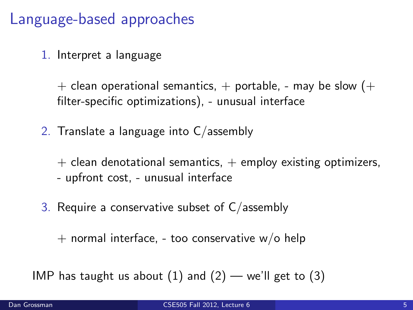### Language-based approaches

1. Interpret a language

 $+$  clean operational semantics,  $+$  portable, - may be slow ( $+$ filter-specific optimizations), - unusual interface

2. Translate a language into C/assembly

 $+$  clean denotational semantics,  $+$  employ existing optimizers, - upfront cost, - unusual interface

3. Require a conservative subset of  $C/$  assembly

 $+$  normal interface, - too conservative w/o help

IMP has taught us about  $(1)$  and  $(2)$  — we'll get to  $(3)$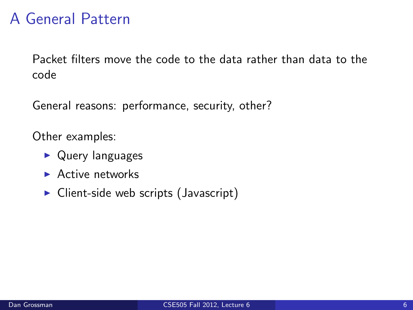## A General Pattern

Packet filters move the code to the data rather than data to the code

General reasons: performance, security, other?

Other examples:

- $\triangleright$  Query languages
- $\blacktriangleright$  Active networks
- $\triangleright$  Client-side web scripts (Javascript)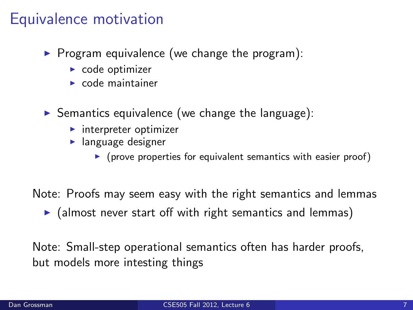## Equivalence motivation

- $\triangleright$  Program equivalence (we change the program):
	- $\triangleright$  code optimizer
	- $\triangleright$  code maintainer
- $\triangleright$  Semantics equivalence (we change the language):
	- $\blacktriangleright$  interpreter optimizer
	- $\blacktriangleright$  language designer
		- $\triangleright$  (prove properties for equivalent semantics with easier proof)

Note: Proofs may seem easy with the right semantics and lemmas

 $\triangleright$  (almost never start off with right semantics and lemmas)

Note: Small-step operational semantics often has harder proofs, but models more intesting things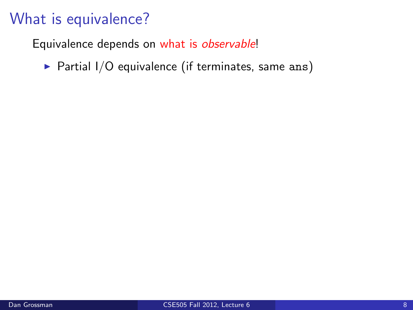Equivalence depends on what is observable!

 $\triangleright$  Partial I/O equivalence (if terminates, same ans)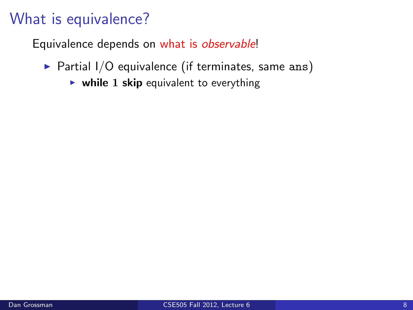- $\triangleright$  Partial I/O equivalence (if terminates, same ans)
	- $\triangleright$  while 1 skip equivalent to everything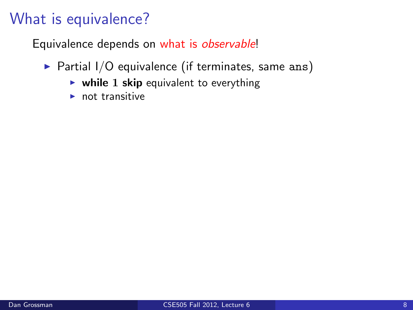- $\triangleright$  Partial I/O equivalence (if terminates, same ans)
	- $\triangleright$  while 1 skip equivalent to everything
	- $\blacktriangleright$  not transitive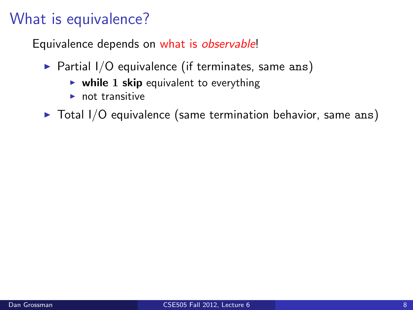- $\triangleright$  Partial I/O equivalence (if terminates, same ans)
	- $\triangleright$  while 1 skip equivalent to everything
	- $\blacktriangleright$  not transitive
- $\triangleright$  Total I/O equivalence (same termination behavior, same ans)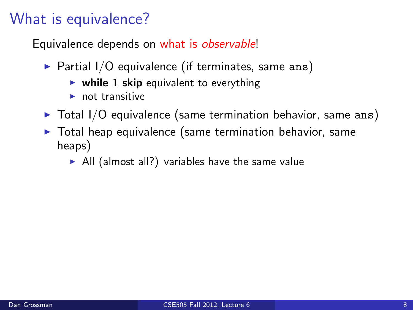- $\triangleright$  Partial I/O equivalence (if terminates, same ans)
	- $\triangleright$  while 1 skip equivalent to everything
	- $\blacktriangleright$  not transitive
- $\triangleright$  Total I/O equivalence (same termination behavior, same ans)
- $\triangleright$  Total heap equivalence (same termination behavior, same heaps)
	- $\triangleright$  All (almost all?) variables have the same value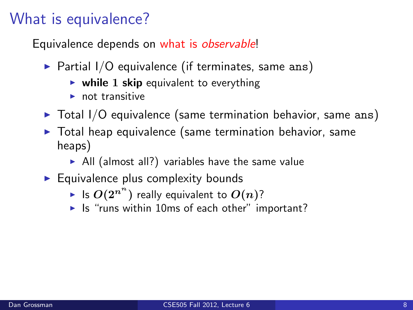- $\triangleright$  Partial I/O equivalence (if terminates, same ans)
	- $\triangleright$  while 1 skip equivalent to everything
	- not transitive
- $\triangleright$  Total I/O equivalence (same termination behavior, same ans)
- $\triangleright$  Total heap equivalence (same termination behavior, same heaps)
	- $\triangleright$  All (almost all?) variables have the same value
- $\blacktriangleright$  Equivalence plus complexity bounds
	- $\blacktriangleright$  Is  $O(2^{n^{n}})$  really equivalent to  $O(n)$ ?
	- $\blacktriangleright$  Is "runs within 10ms of each other" important?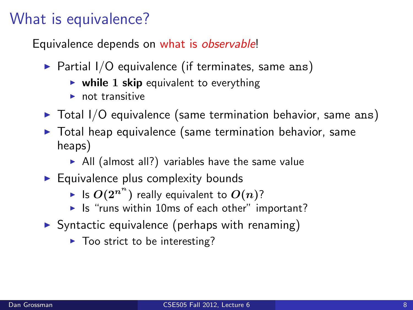- $\triangleright$  Partial I/O equivalence (if terminates, same ans)
	- $\triangleright$  while 1 skip equivalent to everything
	- $\blacktriangleright$  not transitive
- $\triangleright$  Total I/O equivalence (same termination behavior, same ans)
- $\triangleright$  Total heap equivalence (same termination behavior, same heaps)
	- $\triangleright$  All (almost all?) variables have the same value
- $\blacktriangleright$  Equivalence plus complexity bounds
	- $\blacktriangleright$  Is  $O(2^{n^{n}})$  really equivalent to  $O(n)$ ?
	- $\blacktriangleright$  Is "runs within 10ms of each other" important?
- $\triangleright$  Syntactic equivalence (perhaps with renaming)
	- $\blacktriangleright$  Too strict to be interesting?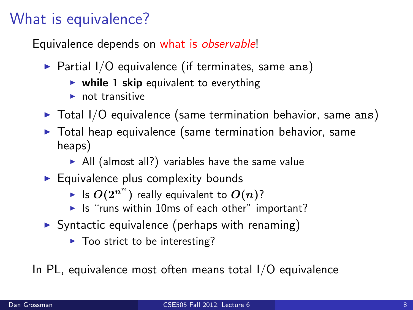Equivalence depends on what is *observable!* 

- $\triangleright$  Partial I/O equivalence (if terminates, same ans)
	- $\triangleright$  while 1 skip equivalent to everything
	- $\blacktriangleright$  not transitive
- $\triangleright$  Total I/O equivalence (same termination behavior, same ans)
- $\triangleright$  Total heap equivalence (same termination behavior, same heaps)
	- $\triangleright$  All (almost all?) variables have the same value
- $\blacktriangleright$  Equivalence plus complexity bounds
	- $\blacktriangleright$  Is  $O(2^{n^{n}})$  really equivalent to  $O(n)$ ?
	- $\blacktriangleright$  Is "runs within 10ms of each other" important?
- $\triangleright$  Syntactic equivalence (perhaps with renaming)
	- $\blacktriangleright$  Too strict to be interesting?

In PL, equivalence most often means total I/O equivalence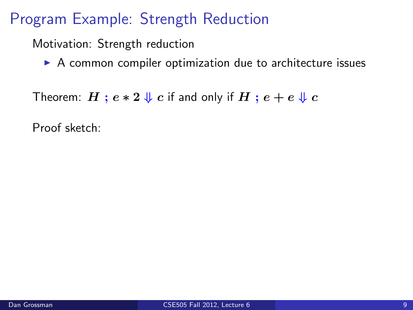Motivation: Strength reduction

 $\triangleright$  A common compiler optimization due to architecture issues

Theorem:  $H : e * 2 \Downarrow c$  if and only if  $H : e + e \Downarrow c$ 

Proof sketch: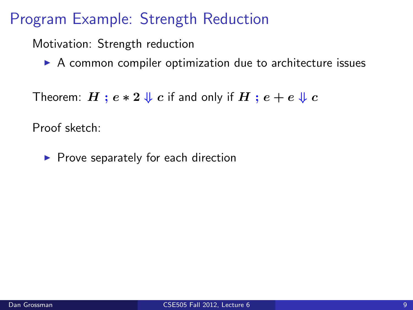Motivation: Strength reduction

 $\triangleright$  A common compiler optimization due to architecture issues

Theorem:  $H$ ;  $e * 2 \Downarrow c$  if and only if  $H$ ;  $e + e \Downarrow c$ 

Proof sketch:

 $\blacktriangleright$  Prove separately for each direction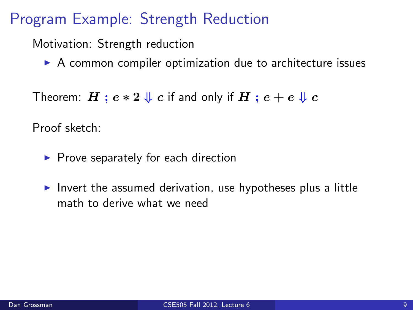Motivation: Strength reduction

 $\triangleright$  A common compiler optimization due to architecture issues

```
Theorem: H : e * 2 \Downarrow c if and only if H : e + e \Downarrow c
```
Proof sketch:

- $\blacktriangleright$  Prove separately for each direction
- I Invert the assumed derivation, use hypotheses plus a little math to derive what we need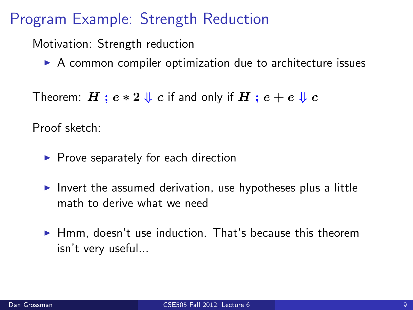Motivation: Strength reduction

 $\triangleright$  A common compiler optimization due to architecture issues

```
Theorem: H : e * 2 \Downarrow c if and only if H : e + e \Downarrow c
```
Proof sketch:

- $\blacktriangleright$  Prove separately for each direction
- I Invert the assumed derivation, use hypotheses plus a little math to derive what we need
- $\blacktriangleright$  Hmm, doesn't use induction. That's because this theorem isn't very useful...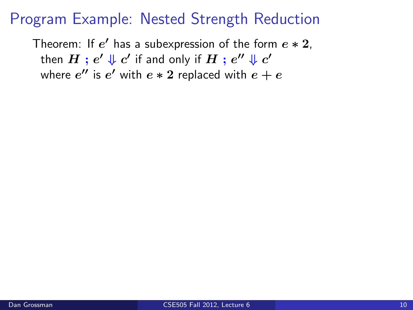Theorem: If  $e'$  has a subexpression of the form  $e * 2$ , then  $H$  ;  $e' \Downarrow c'$  if and only if  $H$  ;  $e'' \Downarrow c'$ where  $e^{\prime\prime}$  is  $e^\prime$  with  $e*2$  replaced with  $e+e$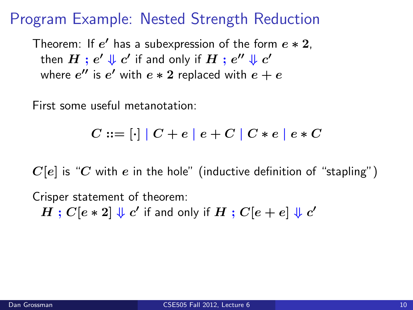Theorem: If  $e'$  has a subexpression of the form  $e * 2$ , then  $H$  ;  $e' \Downarrow c'$  if and only if  $H$  ;  $e'' \Downarrow c'$ where  $e^{\prime\prime}$  is  $e^\prime$  with  $e*2$  replaced with  $e+e$ 

First some useful metanotation:

$$
C ::= [\cdot] | C + e | e + C | C * e | e * C
$$

 $C[e]$  is "C with e in the hole" (inductive definition of "stapling") Crisper statement of theorem:  $H$  ;  $C[e*2] \Downarrow c'$  if and only if  $H$  ;  $C[e+e] \Downarrow c'$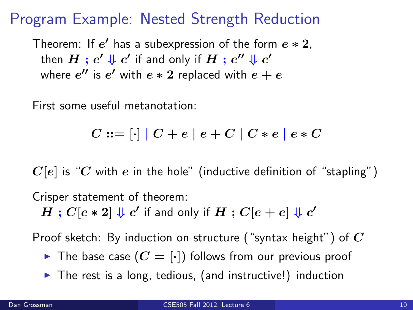Theorem: If  $e'$  has a subexpression of the form  $e * 2$ , then  $H$  ;  $e' \Downarrow c'$  if and only if  $H$  ;  $e'' \Downarrow c'$ where  $e^{\prime\prime}$  is  $e^\prime$  with  $e*2$  replaced with  $e+e$ 

First some useful metanotation:

$$
C ::= [\cdot] | C + e | e + C | C * e | e * C
$$

 $C[e]$  is "C with e in the hole" (inductive definition of "stapling") Crisper statement of theorem:  $H$  ;  $C[e*2] \Downarrow c'$  if and only if  $H$  ;  $C[e+e] \Downarrow c'$ 

Proof sketch: By induction on structure ("syntax height") of  $C$ 

- $\triangleright$  The base case  $(C = [\cdot])$  follows from our previous proof
- $\triangleright$  The rest is a long, tedious, (and instructive!) induction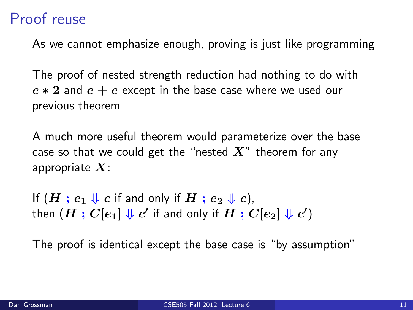## Proof reuse

As we cannot emphasize enough, proving is just like programming

The proof of nested strength reduction had nothing to do with  $e * 2$  and  $e + e$  except in the base case where we used our previous theorem

A much more useful theorem would parameterize over the base case so that we could get the "nested  $X$ " theorem for any appropriate  $X$ :

If  $(H : e_1 \Downarrow c$  if and only if  $H : e_2 \Downarrow c$ , then  $(H:C[e_1]\Downarrow c'$  if and only if  $H:C[e_2]\Downarrow c')$ 

The proof is identical except the base case is "by assumption"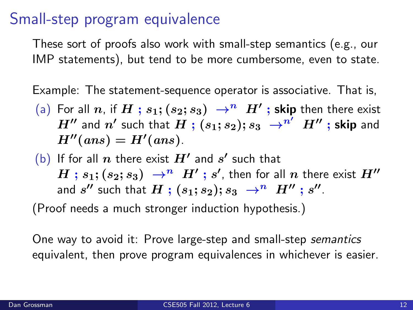#### Small-step program equivalence

These sort of proofs also work with small-step semantics (e.g., our IMP statements), but tend to be more cumbersome, even to state.

Example: The statement-sequence operator is associative. That is,

- (a) For all  $n$ , if  $H$  ;  $s_1;(s_2;s_3)$   $\;\rightarrow^n\;H'$  ; skip then there exist  $H''$  and  $n'$  such that  $H$  ;  $(s_1; s_2); s_3\ \rightarrow^{n'} \ H''$  ; skip and  $H''(ans) = H'(ans).$
- (b) If for all  $n$  there exist  $H'$  and  $s'$  such that  $H$  ;  $s_1;(s_2;s_3)$   $\;\rightarrow^n\;H'$  ;  $s'$ , then for all  $n$  there exist  $H''$ and  $s''$  such that  $H$  ;  $(s_1; s_2); s_3 \rightarrow^n H''$  ;  $s''$ .

(Proof needs a much stronger induction hypothesis.)

One way to avoid it: Prove large-step and small-step semantics equivalent, then prove program equivalences in whichever is easier.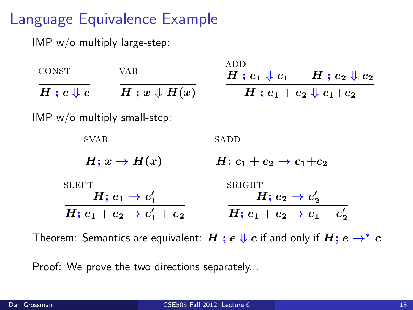# Language Equivalence Example

IMP w/o multiply large-step:

| <b>CONST</b>                                                                       | VAR.                   | ADD.<br>$H$ ; $e_1 \Downarrow c_1$ $H$ ; $e_2 \Downarrow c_2$                       |  |
|------------------------------------------------------------------------------------|------------------------|-------------------------------------------------------------------------------------|--|
| $H$ ; $c \Downarrow c$                                                             | $H: x \downarrow H(x)$ | $H$ ; $e_1 + e_2 \Downarrow c_1 + c_2$                                              |  |
| $IMP w/o$ multiply small-step:                                                     |                        |                                                                                     |  |
| SVAR.                                                                              |                        | SADD                                                                                |  |
| $H; x \rightarrow H(x)$                                                            |                        | $H: c_1 + c_2 \rightarrow c_1 + c_2$                                                |  |
| <b>SLEFT</b><br>$H: e_1 \rightarrow e'_1$<br>$H; e_1 + e_2 \rightarrow e'_1 + e_2$ |                        | <b>SRIGHT</b><br>$H: e_2 \rightarrow e'_2$<br>$H; e_1 + e_2 \rightarrow e_1 + e'_2$ |  |
|                                                                                    |                        |                                                                                     |  |

Theorem: Semantics are equivalent:  $H$ ;  $e \Downarrow c$  if and only if  $H$ ;  $e \rightarrow^* c$ 

Proof: We prove the two directions separately...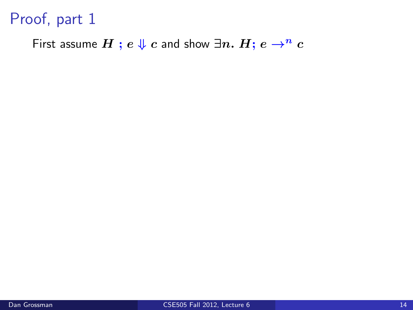First assume  $H$ ;  $e \Downarrow c$  and show  $\exists n. H$ ;  $e \rightarrow^n c$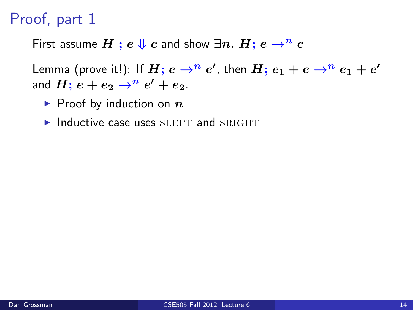First assume  $H$ ;  $e \Downarrow c$  and show  $\exists n. H$ ;  $e \rightarrow^n c$ 

Lemma (prove it!): If  $H ;$   $e \rightarrow^n e'$ , then  $H ;$   $e_1 + e \rightarrow^n e_1 + e'$ and  $H;$   $e+e_2\rightarrow^n e'+e_2.$ 

- $\blacktriangleright$  Proof by induction on  $n$
- $\blacktriangleright$  Inductive case uses SLEFT and SRIGHT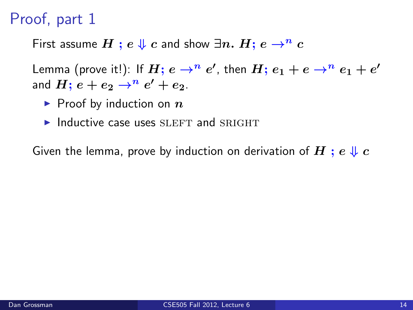First assume  $H$ ;  $e \Downarrow c$  and show  $\exists n. H$ ;  $e \rightarrow^n c$ 

Lemma (prove it!): If  $H ;$   $e \rightarrow^n e'$ , then  $H ;$   $e_1 + e \rightarrow^n e_1 + e'$ and  $H;$   $e+e_2\rightarrow^n e'+e_2.$ 

- $\blacktriangleright$  Proof by induction on  $n$
- $\blacktriangleright$  Inductive case uses SLEFT and SRIGHT

Given the lemma, prove by induction on derivation of H ;  $e \Downarrow c$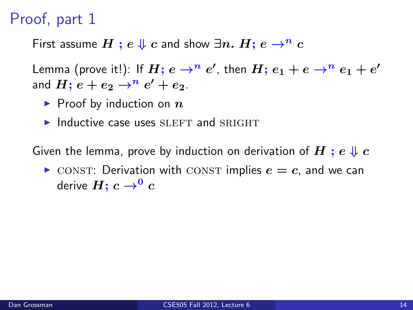First assume  $H$ ;  $e \Downarrow c$  and show  $\exists n$ .  $H$ ;  $e \rightarrow^n c$ 

Lemma (prove it!): If  $H ;$   $e \rightarrow^n e'$ , then  $H ;$   $e_1 + e \rightarrow^n e_1 + e'$ and  $H;$   $e+e_2\rightarrow^n e'+e_2.$ 

- $\blacktriangleright$  Proof by induction on  $n$
- $\blacktriangleright$  Inductive case uses SLEFT and SRIGHT

Given the lemma, prove by induction on derivation of H ;  $e \Downarrow c$ 

 $\triangleright$  CONST: Derivation with CONST implies  $e = c$ , and we can derive  $H$ ;  $c \rightarrow 0$   $c$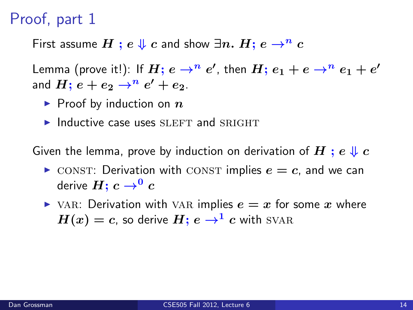First assume  $H$ ;  $e \Downarrow c$  and show  $\exists n$ .  $H$ ;  $e \rightarrow^n c$ 

Lemma (prove it!): If  $H ;$   $e \rightarrow^n e'$ , then  $H ;$   $e_1 + e \rightarrow^n e_1 + e'$ and  $H;$   $e+e_2\rightarrow^n e'+e_2.$ 

- $\blacktriangleright$  Proof by induction on  $n$
- $\blacktriangleright$  Inductive case uses SLEFT and SRIGHT

Given the lemma, prove by induction on derivation of H ;  $e \Downarrow c$ 

- $\triangleright$  CONST: Derivation with CONST implies  $e = c$ , and we can derive  $H$ ;  $c \rightarrow 0$   $c$
- $\triangleright$  VAR: Derivation with VAR implies  $e = x$  for some x where  $H(x) = c$ , so derive  $H$ ;  $e \rightarrow^{1} c$  with SVAR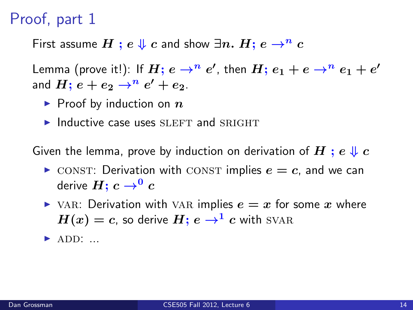First assume  $H$ ;  $e \Downarrow c$  and show  $\exists n$ .  $H$ ;  $e \rightarrow^n c$ 

Lemma (prove it!): If  $H ;$   $e \rightarrow^n e'$ , then  $H ;$   $e_1 + e \rightarrow^n e_1 + e'$ and  $H;$   $e+e_2\rightarrow^n e'+e_2.$ 

- $\blacktriangleright$  Proof by induction on  $n$
- $\blacktriangleright$  Inductive case uses SLEFT and SRIGHT

Given the lemma, prove by induction on derivation of H ;  $e \Downarrow c$ 

- $\triangleright$  CONST: Derivation with CONST implies  $e = c$ , and we can derive  $H$ ;  $c \rightarrow 0$   $c$
- $\triangleright$  VAR: Derivation with VAR implies  $e = x$  for some x where  $H(x) = c$ , so derive  $H: e \rightarrow^1 c$  with SVAR
- $\blacktriangleright$  ADD: ...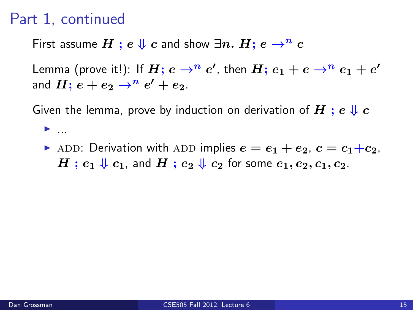$\blacktriangleright$  ...

First assume  $H$ ;  $e \Downarrow c$  and show  $\exists n$ .  $H$ ;  $e \rightarrow^n c$ 

Lemma (prove it!): If  $H ;$   $e \rightarrow^n e'$ , then  $H ;$   $e_1 + e \rightarrow^n e_1 + e'$ and  $H;$   $e+e_2\rightarrow^n e'+e_2.$ 

Given the lemma, prove by induction on derivation of  $H : e \Downarrow c$ 

ADD: Derivation with ADD implies  $e = e_1 + e_2$ ,  $c = c_1+c_2$ ,  $H$ ;  $e_1 \Downarrow c_1$ , and  $H$ ;  $e_2 \Downarrow c_2$  for some  $e_1, e_2, c_1, c_2$ .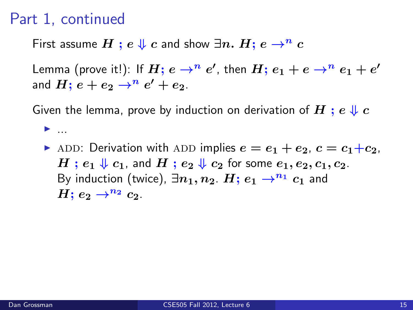$\blacktriangleright$  ...

First assume  $H$ ;  $e \Downarrow c$  and show  $\exists n. H$ ;  $e \rightarrow^n c$ 

Lemma (prove it!): If  $H ;$   $e \rightarrow^n e'$ , then  $H ;$   $e_1 + e \rightarrow^n e_1 + e'$ and  $H;$   $e+e_2\rightarrow^n e'+e_2.$ 

Given the lemma, prove by induction on derivation of  $H : e \Downarrow c$ 

ADD: Derivation with ADD implies  $e = e_1 + e_2$ ,  $c = c_1+c_2$ ,  $H$ ;  $e_1 \Downarrow c_1$ , and  $H$ ;  $e_2 \Downarrow c_2$  for some  $e_1, e_2, c_1, c_2$ . By induction (twice),  $\exists n_1, n_2$ .  $H: e_1 \rightarrow^{n_1} c_1$  and  $H: e_2 \rightarrow^{n_2} c_2$ .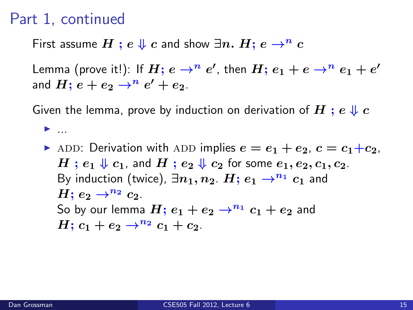$\blacktriangleright$  ...

First assume  $H$ ;  $e \Downarrow c$  and show  $\exists n$ .  $H$ ;  $e \rightarrow^n c$ 

Lemma (prove it!): If  $H ;$   $e \rightarrow^n e'$ , then  $H ;$   $e_1 + e \rightarrow^n e_1 + e'$ and  $H;$   $e+e_2\rightarrow^n e'+e_2.$ 

Given the lemma, prove by induction on derivation of  $H : e \Downarrow c$ 

ADD: Derivation with ADD implies  $e = e_1 + e_2$ ,  $c = c_1+c_2$ ,  $H$ ;  $e_1 \Downarrow c_1$ , and  $H$ ;  $e_2 \Downarrow c_2$  for some  $e_1, e_2, c_1, c_2$ . By induction (twice),  $\exists n_1, n_2$ .  $H: e_1 \rightarrow^{n_1} c_1$  and  $H: e_2 \rightarrow^{n_2} c_2$ . So by our lemma  $H$ ;  $e_1 + e_2 \rightarrow^{n_1} c_1 + e_2$  and  $H: c_1 + e_2 \rightarrow^{n_2} c_1 + c_2$ .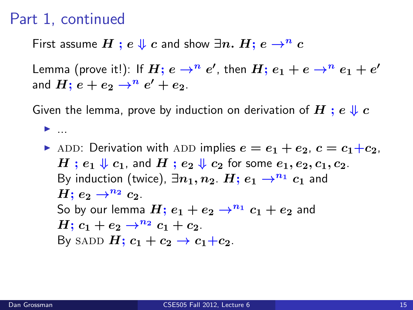$\blacktriangleright$  ...

First assume  $H$ ;  $e \Downarrow c$  and show  $\exists n$ .  $H$ ;  $e \rightarrow^n c$ 

Lemma (prove it!): If  $H ;$   $e \rightarrow^n e'$ , then  $H ;$   $e_1 + e \rightarrow^n e_1 + e'$ and  $H;$   $e+e_2\rightarrow^n e'+e_2.$ 

Given the lemma, prove by induction on derivation of  $H : e \Downarrow c$ 

ADD: Derivation with ADD implies  $e = e_1 + e_2$ ,  $c = c_1+c_2$ ,  $H$ ;  $e_1 \Downarrow c_1$ , and  $H$ ;  $e_2 \Downarrow c_2$  for some  $e_1, e_2, c_1, c_2$ . By induction (twice),  $\exists n_1, n_2$ .  $H: e_1 \rightarrow^{n_1} c_1$  and  $H: e_2 \rightarrow^{n_2} c_2$ . So by our lemma  $H$ ;  $e_1 + e_2 \rightarrow^{n_1} c_1 + e_2$  and  $H: c_1 + e_2 \rightarrow^{n_2} c_1 + c_2$ . By SADD  $H: c_1 + c_2 \rightarrow c_1+c_2$ .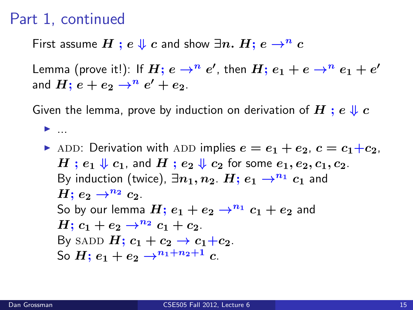$\blacktriangleright$  ...

First assume  $H$  ;  $e \Downarrow c$  and show  $\exists n. H$ ;  $e \rightarrow^n c$ 

Lemma (prove it!): If  $H ;$   $e \rightarrow^n e'$ , then  $H ;$   $e_1 + e \rightarrow^n e_1 + e'$ and  $H;$   $e+e_2\rightarrow^n e'+e_2.$ 

Given the lemma, prove by induction on derivation of  $H : e \Downarrow c$ 

ADD: Derivation with ADD implies  $e = e_1 + e_2$ ,  $c = c_1+c_2$ ,  $H$ ;  $e_1 \Downarrow c_1$ , and  $H$ ;  $e_2 \Downarrow c_2$  for some  $e_1, e_2, c_1, c_2$ . By induction (twice),  $\exists n_1, n_2$ .  $H: e_1 \rightarrow^{n_1} c_1$  and  $H: e_2 \rightarrow^{n_2} c_2$ . So by our lemma  $H$ ;  $e_1 + e_2 \rightarrow^{n_1} c_1 + e_2$  and  $H: c_1 + e_2 \rightarrow^{n_2} c_1 + c_2$ . By SADD  $H: c_1 + c_2 \rightarrow c_1+c_2$ . So  $H: e_1 + e_2 \rightarrow^{n_1+n_2+1} c$ .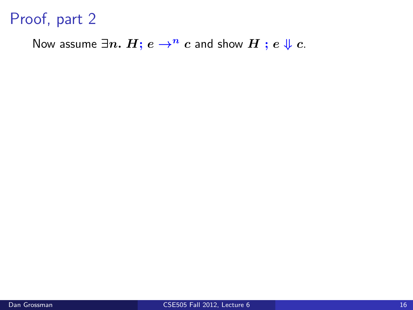Now assume  $\exists n. H; e \rightarrow^n c$  and show  $H; e \Downarrow c$ .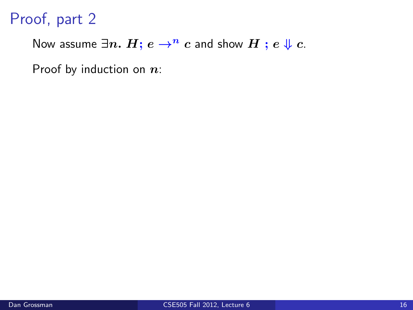Now assume  $\exists n. H; e \rightarrow^n c$  and show  $H; e \Downarrow c$ .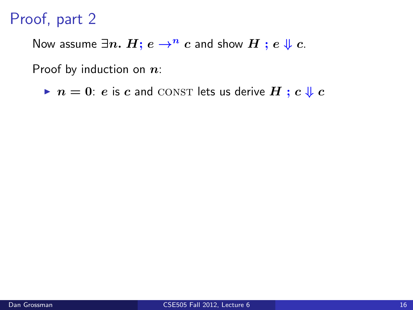Now assume  $\exists n. H; e \rightarrow^n c$  and show  $H; e \Downarrow c$ .

Proof by induction on  $n$ :

 $\blacktriangleright$   $n = 0$ : e is c and CONST lets us derive H ; c  $\Downarrow$  c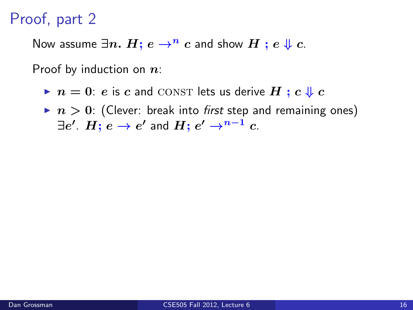Now assume  $\exists n. H; e \rightarrow^n c$  and show  $H; e \Downarrow c$ .

- $\blacktriangleright$   $n = 0$ : e is c and CONST lets us derive H ; c  $\Downarrow$  c
- $\blacktriangleright$   $n > 0$ : (Clever: break into first step and remaining ones)  $\exists e'.~H; \, e \rightarrow e'$  and  $H; \, e' \rightarrow^{n-1} c.$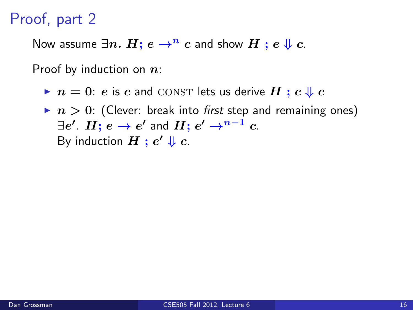Now assume  $\exists n. H; e \rightarrow^n c$  and show  $H; e \Downarrow c$ .

- $\blacktriangleright$   $n = 0$ : e is c and CONST lets us derive H ; c  $\Downarrow$  c
- $\blacktriangleright$   $n > 0$ : (Clever: break into first step and remaining ones)  $\exists e'.~H; \, e \rightarrow e'$  and  $H; \, e' \rightarrow^{n-1} c.$ By induction  $H$  ;  $e' \Downarrow c$ .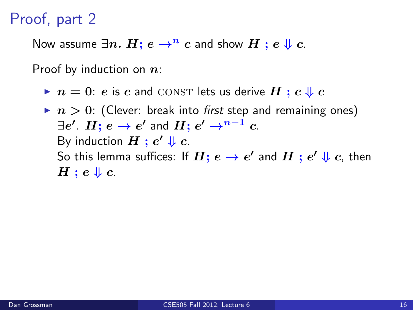Now assume  $\exists n. H; e \rightarrow^n c$  and show  $H; e \Downarrow c$ .

- $\blacktriangleright$   $n = 0$ : e is c and CONST lets us derive H ; c  $\Downarrow$  c
- $\blacktriangleright$   $n > 0$ : (Clever: break into first step and remaining ones)  $\exists e'.~H; \, e \rightarrow e'$  and  $H; \, e' \rightarrow^{n-1} c.$ By induction  $H$  ;  $e' \Downarrow c$ . So this lemma suffices: If  $H ;$   $e \rightarrow e'$  and  $H$   $;$   $e' \Downarrow c$ , then  $H$ ;  $e \Downarrow c$ .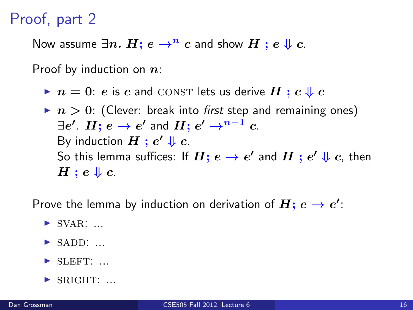Now assume  $\exists n. H; e \rightarrow^n c$  and show  $H; e \Downarrow c$ .

Proof by induction on  $n$ :

- $\blacktriangleright$   $n = 0$ : e is c and CONST lets us derive H ; c  $\Downarrow$  c
- $\blacktriangleright$   $n > 0$ : (Clever: break into first step and remaining ones)  $\exists e'.~H; \, e \rightarrow e'$  and  $H; \, e' \rightarrow^{n-1} c.$ By induction  $H$  ;  $e' \Downarrow c$ . So this lemma suffices: If  $H ;$   $e \rightarrow e'$  and  $H$   $;$   $e' \Downarrow c$ , then  $H : e \Downarrow c$ .

Prove the lemma by induction on derivation of  $H; e \rightarrow e'$ :

- $\triangleright$  SVAR: ...
- $\blacktriangleright$  sadd: ...
- $\blacktriangleright$  SLEFT: ...
- $\blacktriangleright$  SRIGHT: ...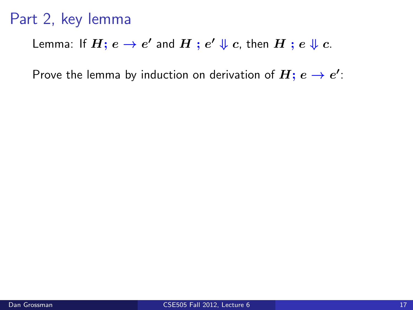Lemma: If  $H ;$   $e \rightarrow e'$  and  $H$  ;  $e' \Downarrow c$ , then  $H$  ;  $e \Downarrow c$ .

Prove the lemma by induction on derivation of  $H;\,e\to e^\prime\dot{e}$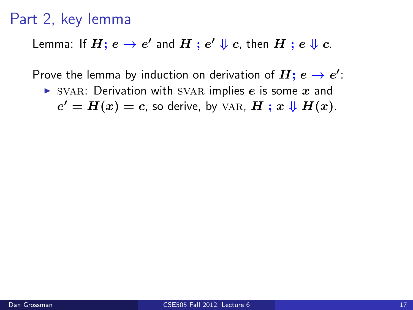Lemma: If  $H ;$   $e \rightarrow e'$  and  $H$  ;  $e' \Downarrow c$ , then  $H$  ;  $e \Downarrow c$ .

Prove the lemma by induction on derivation of  $H;\,e\to e^\prime\dot{e}$ 

 $\triangleright$  SVAR: Derivation with SVAR implies e is some x and  $e' = H(x) = c$ , so derive, by VAR,  $H; x \Downarrow H(x)$ .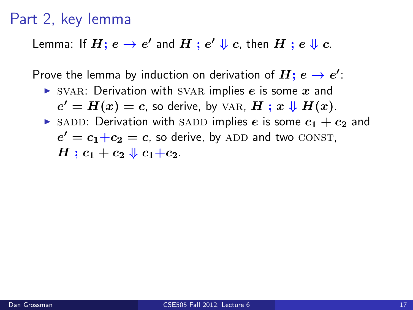Lemma: If  $H ;$   $e \rightarrow e'$  and  $H$  ;  $e' \Downarrow c$ , then  $H$  ;  $e \Downarrow c$ .

Prove the lemma by induction on derivation of  $H;\,e\to e^\prime\dot{e}$ 

- $\triangleright$  SVAR: Derivation with SVAR implies e is some x and  $e' = H(x) = c$ , so derive, by VAR,  $H; x \Downarrow H(x)$ .
- $\triangleright$  SADD: Derivation with SADD implies e is some  $c_1 + c_2$  and  $e' = c_1+c_2 = c$ , so derive, by ADD and two CONST,  $H: c_1 + c_2 \Downarrow c_1 + c_2$ .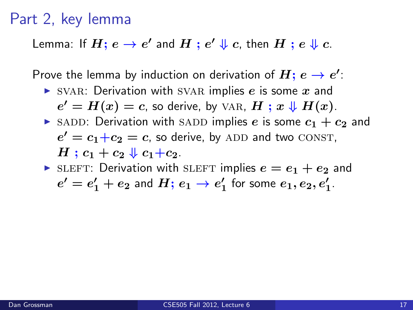Lemma: If  $H ;$   $e \rightarrow e'$  and  $H$  ;  $e' \Downarrow c$ , then  $H$  ;  $e \Downarrow c$ .

Prove the lemma by induction on derivation of  $H;\,e\to e^\prime\dot{e}$ 

 $\triangleright$  SVAR: Derivation with SVAR implies e is some x and

 $e' = H(x) = c$ , so derive, by VAR,  $H; x \Downarrow H(x)$ .

 $\triangleright$  SADD: Derivation with SADD implies e is some  $c_1 + c_2$  and  $e' = c_1+c_2 = c$ , so derive, by ADD and two CONST,

 $H: c_1 + c_2 \Downarrow c_1 + c_2$ .

SLEFT: Derivation with SLEFT implies  $e = e_1 + e_2$  and  $e'=e_1'+e_2$  and  $H;\, e_1\to e_1'$  for some  $e_1,e_2,e_1'.$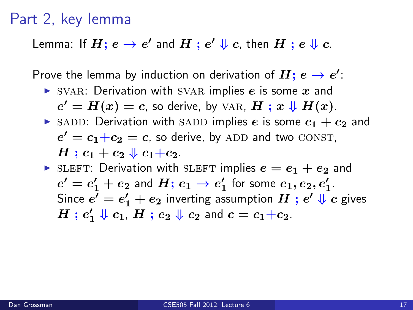Lemma: If  $H ;$   $e \rightarrow e'$  and  $H$  ;  $e' \Downarrow c$ , then  $H$  ;  $e \Downarrow c$ .

Prove the lemma by induction on derivation of  $H;\,e\to e^\prime\dot{e}$ 

 $\triangleright$  SVAR: Derivation with SVAR implies e is some x and

 $e' = H(x) = c$ , so derive, by VAR,  $H; x \Downarrow H(x)$ .

 $\triangleright$  SADD: Derivation with SADD implies e is some  $c_1 + c_2$  and  $e' = c_1+c_2 = c$ , so derive, by ADD and two CONST,  $H: c_1 + c_2 \Downarrow c_1 + c_2$ .

In sleaf sleep simulation with sleaf implies  $e = e_1 + e_2$  and  $e'=e_1'+e_2$  and  $H;\, e_1\to e_1'$  for some  $e_1,e_2,e_1'.$ Since  $e'=e_1'+e_2$  inverting assumption  $H$  ;  $e'\Downarrow c$  gives  $H$  ;  $e'_1 \Downarrow c_1$ ,  $H$  ;  $e_2 \Downarrow c_2$  and  $c = c_1 + c_2$ .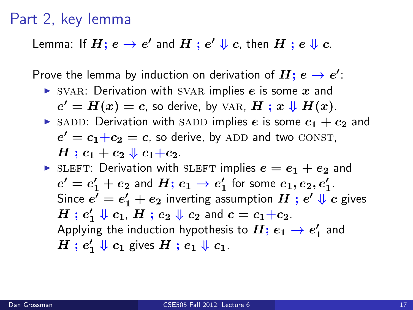Lemma: If  $H ;$   $e \rightarrow e'$  and  $H$  ;  $e' \Downarrow c$ , then  $H$  ;  $e \Downarrow c$ .

Prove the lemma by induction on derivation of  $H;\,e\to e^\prime\dot{e}$ 

 $\triangleright$  SVAR: Derivation with SVAR implies e is some x and

 $e' = H(x) = c$ , so derive, by VAR,  $H; x \Downarrow H(x)$ .

 $\triangleright$  SADD: Derivation with SADD implies e is some  $c_1 + c_2$  and  $e' = c_1+c_2 = c$ , so derive, by ADD and two CONST,  $H: c_1 + c_2 \Downarrow c_1 + c_2$ .

In sleaf sleep simulation with sleaf implies  $e = e_1 + e_2$  and  $e'=e_1'+e_2$  and  $H;\, e_1\to e_1'$  for some  $e_1,e_2,e_1'.$ Since  $e'=e_1'+e_2$  inverting assumption  $H$  ;  $e'\Downarrow c$  gives  $H$  ;  $e'_1 \Downarrow c_1$ ,  $H$  ;  $e_2 \Downarrow c_2$  and  $c = c_1 + c_2$ . Applying the induction hypothesis to  $H;\, e_1 \to e_1'$  and  $H$  ;  $e'_1 \Downarrow c_1$  gives  $H$  ;  $e_1 \Downarrow c_1$ .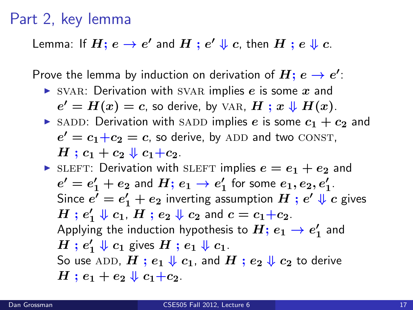Lemma: If  $H ;$   $e \rightarrow e'$  and  $H$  ;  $e' \Downarrow c$ , then  $H$  ;  $e \Downarrow c$ .

Prove the lemma by induction on derivation of  $H;\,e\to e^\prime\dot{e}$ 

 $\triangleright$  SVAR: Derivation with SVAR implies e is some x and

 $e' = H(x) = c$ , so derive, by VAR,  $H; x \Downarrow H(x)$ .

 $\triangleright$  SADD: Derivation with SADD implies e is some  $c_1 + c_2$  and  $e' = c_1+c_2 = c$ , so derive, by ADD and two CONST,  $H: c_1 + c_2 \Downarrow c_1 + c_2$ .

In sleaf sleep simulation with sleaf implies  $e = e_1 + e_2$  and  $e'=e_1'+e_2$  and  $H;\, e_1\to e_1'$  for some  $e_1,e_2,e_1'.$ Since  $e'=e_1'+e_2$  inverting assumption  $H$  ;  $e'\Downarrow c$  gives  $H$  ;  $e'_1 \Downarrow c_1$ ,  $H$  ;  $e_2 \Downarrow c_2$  and  $c = c_1 + c_2$ . Applying the induction hypothesis to  $H;\, e_1 \to e_1'$  and  $H$  ;  $e'_1 \Downarrow c_1$  gives  $H$  ;  $e_1 \Downarrow c_1$ . So use ADD,  $H$ ;  $e_1 \Downarrow c_1$ , and  $H$ ;  $e_2 \Downarrow c_2$  to derive  $H: e_1 + e_2 \Downarrow c_1 + c_2$ .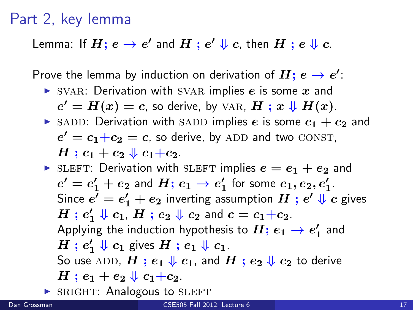Lemma: If  $H ;$   $e \rightarrow e'$  and  $H$  ;  $e' \Downarrow c$ , then  $H$  ;  $e \Downarrow c$ .

Prove the lemma by induction on derivation of  $H;\,e\to e^\prime\dot{e}$ 

SVAR: Derivation with SVAR implies  $e$  is some  $x$  and

 $e' = H(x) = c$ , so derive, by VAR,  $H; x \Downarrow H(x)$ .

 $\triangleright$  SADD: Derivation with SADD implies e is some  $c_1 + c_2$  and  $e' = c_1+c_2 = c$ , so derive, by ADD and two CONST,  $H: c_1 + c_2 \Downarrow c_1 + c_2$ .

In sleaf sleep simulation with sleaf implies  $e = e_1 + e_2$  and  $e'=e_1'+e_2$  and  $H;\, e_1\to e_1'$  for some  $e_1,e_2,e_1'.$ Since  $e'=e_1'+e_2$  inverting assumption  $H$  ;  $e'\Downarrow c$  gives  $H$  ;  $e'_1 \Downarrow c_1$ ,  $H$  ;  $e_2 \Downarrow c_2$  and  $c = c_1 + c_2$ . Applying the induction hypothesis to  $H;\, e_1 \to e_1'$  and  $H$  ;  $e'_1 \Downarrow c_1$  gives  $H$  ;  $e_1 \Downarrow c_1$ . So use ADD,  $H$ ;  $e_1 \Downarrow c_1$ , and  $H$ ;  $e_2 \Downarrow c_2$  to derive  $H: e_1 + e_2 \Downarrow c_1 + c_2$ .

 $\triangleright$  SRIGHT: Analogous to SLEFT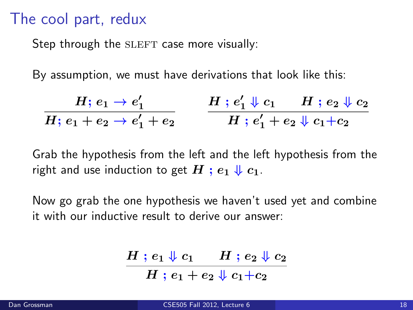#### The cool part, redux

Step through the SLEFT case more visually:

By assumption, we must have derivations that look like this:

$$
\frac{H; \, e_1 \rightarrow e_1'}{H; \, e_1 + e_2 \rightarrow e_1' + e_2} \qquad \frac{H \, ; \, e_1' \Downarrow c_1 \quad H \, ; \, e_2 \Downarrow c_2}{H \, ; \, e_1' + e_2 \Downarrow c_1 + c_2}
$$

Grab the hypothesis from the left and the left hypothesis from the right and use induction to get  $H$ ;  $e_1 \Downarrow c_1$ .

Now go grab the one hypothesis we haven't used yet and combine it with our inductive result to derive our answer:

$$
\frac{H \mathbin{;} e_1 \Downarrow c_1 \quad \ \, H \mathbin{;} e_2 \Downarrow c_2}{H \mathbin{;} e_1 + e_2 \Downarrow c_1 + c_2}
$$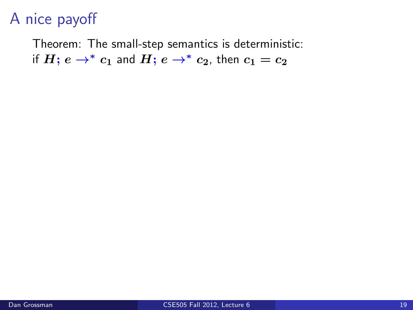## A nice payoff

Theorem: The small-step semantics is deterministic: if  $H$ ;  $e \rightarrow^* c_1$  and  $H$ ;  $e \rightarrow^* c_2$ , then  $c_1 = c_2$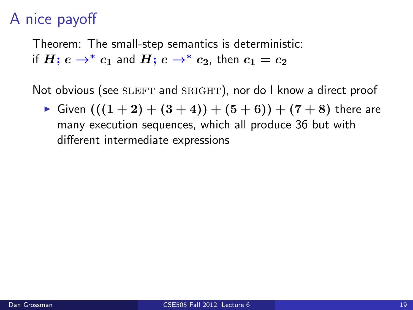## A nice payoff

Theorem: The small-step semantics is deterministic: if  $H: e \rightarrow^* c_1$  and  $H: e \rightarrow^* c_2$ , then  $c_1 = c_2$ 

Not obvious (see SLEFT and SRIGHT), nor do I know a direct proof

• Given  $(((1 + 2) + (3 + 4)) + (5 + 6)) + (7 + 8)$  there are many execution sequences, which all produce 36 but with different intermediate expressions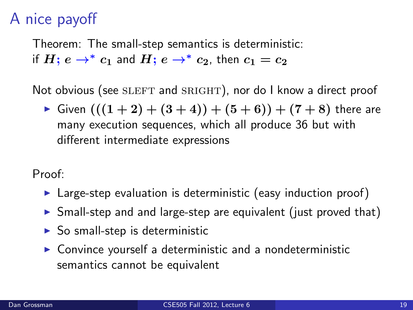## A nice payoff

Theorem: The small-step semantics is deterministic: if  $H: e \rightarrow^* c_1$  and  $H: e \rightarrow^* c_2$ , then  $c_1 = c_2$ 

Not obvious (see SLEFT and SRIGHT), nor do I know a direct proof

• Given  $(((1 + 2) + (3 + 4)) + (5 + 6)) + (7 + 8)$  there are many execution sequences, which all produce 36 but with different intermediate expressions

Proof:

- $\triangleright$  Large-step evaluation is deterministic (easy induction proof)
- $\triangleright$  Small-step and and large-step are equivalent (just proved that)
- $\triangleright$  So small-step is deterministic
- $\triangleright$  Convince yourself a deterministic and a nondeterministic semantics cannot be equivalent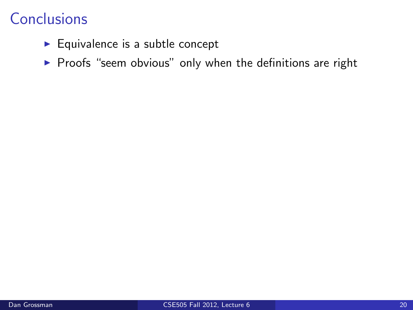- $\blacktriangleright$  Equivalence is a subtle concept
- $\triangleright$  Proofs "seem obvious" only when the definitions are right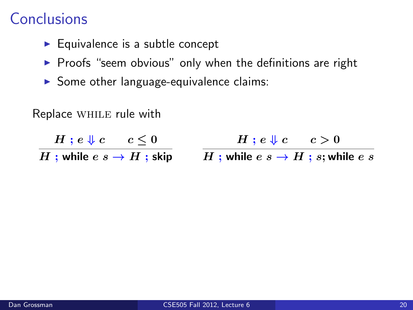- $\blacktriangleright$  Equivalence is a subtle concept
- $\triangleright$  Proofs "seem obvious" only when the definitions are right
- $\triangleright$  Some other language-equivalence claims:

Replace while rule with

 $H \; ; \; e \Downarrow c \quad \quad c \leq 0$  $H$  ; while  $e\; s \to H$  ; skip  $\qquad \; H$  ; while  $e\; s \to H$  ;  $s;$  while  $e\; s$  $H$ ;  $e \Downarrow c$   $c > 0$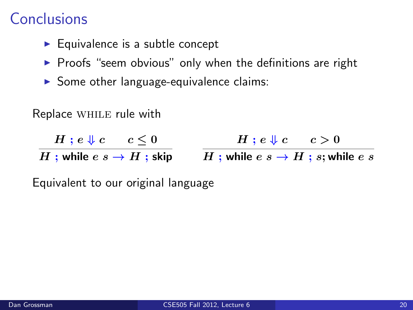- $\blacktriangleright$  Equivalence is a subtle concept
- $\triangleright$  Proofs "seem obvious" only when the definitions are right
- $\triangleright$  Some other language-equivalence claims:

Replace while rule with

 $H$  ;  $e \Downarrow c$   $c \leq 0$ 

 $H$ ;  $e \Downarrow c$   $c > 0$ 

 $H$  ; while  $e\; s \to H$  ; skip  $\qquad \; H$  ; while  $e\; s \to H$  ;  $s;$  while  $e\; s$ 

Equivalent to our original language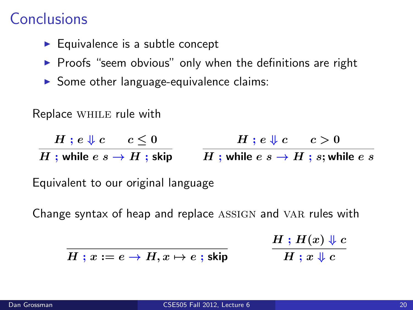- $\blacktriangleright$  Equivalence is a subtle concept
- $\triangleright$  Proofs "seem obvious" only when the definitions are right
- $\triangleright$  Some other language-equivalence claims:

Replace while rule with

 $H$  ;  $e \Downarrow c$   $c \leq 0$  $H$  ; while  $e\; s \to H$  ; skip  $\qquad \; H$  ; while  $e\; s \to H$  ;  $s;$  while  $e\; s$  $H$ ;  $e \Downarrow c$   $c > 0$ 

Equivalent to our original language

Change syntax of heap and replace ASSIGN and VAR rules with

 $H$  ;  $H(x)\Downarrow c$  $H \mathrel{;} x \mathrel{\Downarrow} c$ 

 $H: x := e \rightarrow H, x \mapsto e$ ; skip